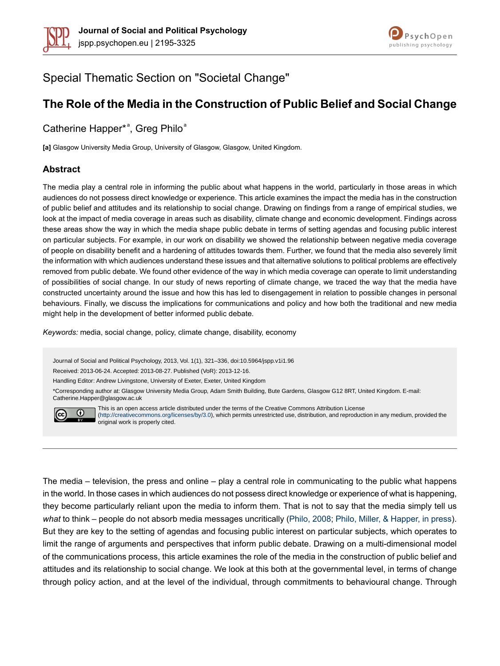



# Special Thematic Section on "Societal Change"

# **The Role of the Media in the Construction of Public Belief and Social Change**

Catherine Happer\*<sup>ª</sup>, Greg Philo<sup>ª</sup>

**[a]** Glasgow University Media Group, University of Glasgow, Glasgow, United Kingdom.

#### **Abstract**

The media play a central role in informing the public about what happens in the world, particularly in those areas in which audiences do not possess direct knowledge or experience. This article examines the impact the media has in the construction of public belief and attitudes and its relationship to social change. Drawing on findings from a range of empirical studies, we look at the impact of media coverage in areas such as disability, climate change and economic development. Findings across these areas show the way in which the media shape public debate in terms of setting agendas and focusing public interest on particular subjects. For example, in our work on disability we showed the relationship between negative media coverage of people on disability benefit and a hardening of attitudes towards them. Further, we found that the media also severely limit the information with which audiences understand these issues and that alternative solutions to political problems are effectively removed from public debate. We found other evidence of the way in which media coverage can operate to limit understanding of possibilities of social change. In our study of news reporting of climate change, we traced the way that the media have constructed uncertainty around the issue and how this has led to disengagement in relation to possible changes in personal behaviours. Finally, we discuss the implications for communications and policy and how both the traditional and new media might help in the development of better informed public debate.

*Keywords:* media, social change, policy, climate change, disability, economy

Journal of Social and Political Psychology, 2013, Vol. 1(1), 321–336, doi:10.5964/jspp.v1i1.96

Received: 2013-06-24. Accepted: 2013-08-27. Published (VoR): 2013-12-16.

Handling Editor: Andrew Livingstone, University of Exeter, Exeter, United Kingdom

\*Corresponding author at: Glasgow University Media Group, Adam Smith Building, Bute Gardens, Glasgow G12 8RT, United Kingdom. E-mail: Catherine.Happer@glasgow.ac.uk



This is an open access article distributed under the terms of the Creative Commons Attribution License [\(http://creativecommons.org/licenses/by/3.0](http://creativecommons.org/licenses/by/3.0)), which permits unrestricted use, distribution, and reproduction in any medium, provided the original work is properly cited.

The media – television, the press and online – play a central role in communicating to the public what happens in the world. In those cases in which audiences do not possess direct knowledge or experience of what is happening, they become particularly reliant upon the media to inform them. That is not to say that the media simply tell us *what* to think – people do not absorb media messages uncritically ([Philo,](#page-14-0) 2008; Philo, Miller, & [Happer,](#page-14-1) in press). But they are key to the setting of agendas and focusing public interest on particular subjects, which operates to limit the range of arguments and perspectives that inform public debate. Drawing on a multi-dimensional model of the communications process, this article examines the role of the media in the construction of public belief and attitudes and its relationship to social change. We look at this both at the governmental level, in terms of change through policy action, and at the level of the individual, through commitments to behavioural change. Through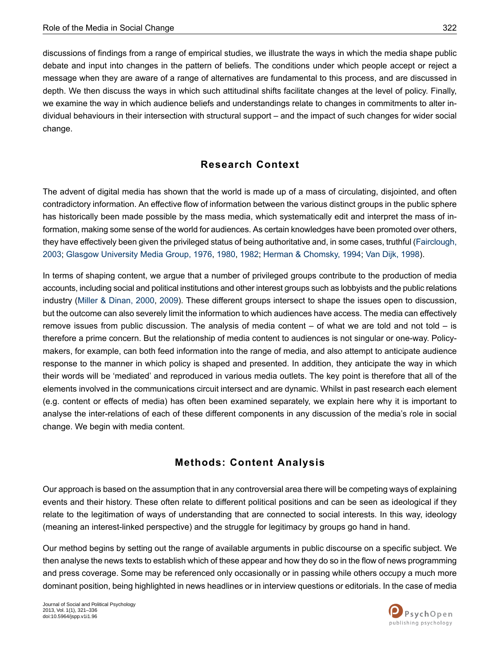discussions of findings from a range of empirical studies, we illustrate the ways in which the media shape public debate and input into changes in the pattern of beliefs. The conditions under which people accept or reject a message when they are aware of a range of alternatives are fundamental to this process, and are discussed in depth. We then discuss the ways in which such attitudinal shifts facilitate changes at the level of policy. Finally, we examine the way in which audience beliefs and understandings relate to changes in commitments to alter individual behaviours in their intersection with structural support – and the impact of such changes for wider social change.

### **Research Context**

The advent of digital media has shown that the world is made up of a mass of circulating, disjointed, and often contradictory information. An effective flow of information between the various distinct groups in the public sphere has historically been made possible by the mass media, which systematically edit and interpret the mass of information, making some sense of the world for audiences. As certain knowledges have been promoted over others, they have effectively been given the privileged status of being authoritative and, in some cases, truthful ([Fairclough,](#page-13-0) [2003](#page-13-0); Glasgow [University](#page-13-1) Media Group, 1976, [1980](#page-13-2), [1982](#page-13-3); Herman & [Chomsky,](#page-13-4) 1994; Van Dijk, [1998](#page-14-2)).

In terms of shaping content, we argue that a number of privileged groups contribute to the production of media accounts, including social and political institutions and other interest groups such as lobbyists and the public relations industry (Miller & [Dinan,](#page-14-3) 2000, [2009](#page-14-4)). These different groups intersect to shape the issues open to discussion, but the outcome can also severely limit the information to which audiences have access. The media can effectively remove issues from public discussion. The analysis of media content – of what we are told and not told – is therefore a prime concern. But the relationship of media content to audiences is not singular or one-way. Policymakers, for example, can both feed information into the range of media, and also attempt to anticipate audience response to the manner in which policy is shaped and presented. In addition, they anticipate the way in which their words will be 'mediated' and reproduced in various media outlets. The key point is therefore that all of the elements involved in the communications circuit intersect and are dynamic. Whilst in past research each element (e.g. content or effects of media) has often been examined separately, we explain here why it is important to analyse the inter-relations of each of these different components in any discussion of the media's role in social change. We begin with media content.

## **Methods: Content Analysis**

Our approach is based on the assumption that in any controversial area there will be competing ways of explaining events and their history. These often relate to different political positions and can be seen as ideological if they relate to the legitimation of ways of understanding that are connected to social interests. In this way, ideology (meaning an interest-linked perspective) and the struggle for legitimacy by groups go hand in hand.

Our method begins by setting out the range of available arguments in public discourse on a specific subject. We then analyse the news texts to establish which of these appear and how they do so in the flow of news programming and press coverage. Some may be referenced only occasionally or in passing while others occupy a much more dominant position, being highlighted in news headlines or in interview questions or editorials. In the case of media

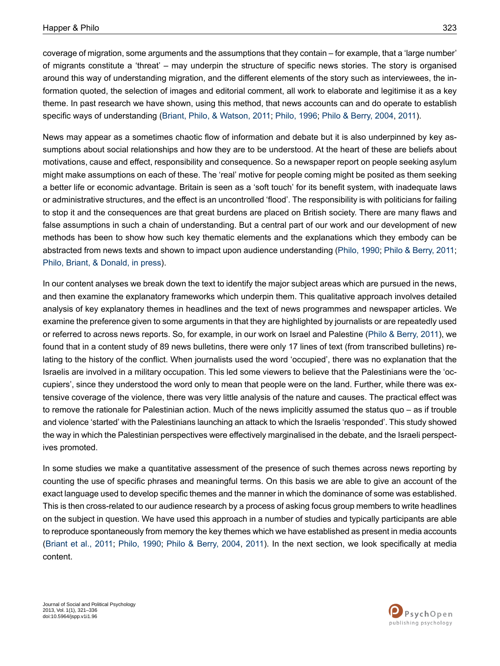coverage of migration, some arguments and the assumptions that they contain – for example, that a 'large number' of migrants constitute a 'threat' – may underpin the structure of specific news stories. The story is organised around this way of understanding migration, and the different elements of the story such as interviewees, the information quoted, the selection of images and editorial comment, all work to elaborate and legitimise it as a key theme. In past research we have shown, using this method, that news accounts can and do operate to establish specific ways of understanding (Briant, Philo, & [Watson,](#page-13-5) 2011; [Philo,](#page-14-5) 1996; Philo & [Berry,](#page-14-6) 2004, [2011](#page-14-7)).

News may appear as a sometimes chaotic flow of information and debate but it is also underpinned by key assumptions about social relationships and how they are to be understood. At the heart of these are beliefs about motivations, cause and effect, responsibility and consequence. So a newspaper report on people seeking asylum might make assumptions on each of these. The 'real' motive for people coming might be posited as them seeking a better life or economic advantage. Britain is seen as a 'soft touch' for its benefit system, with inadequate laws or administrative structures, and the effect is an uncontrolled 'flood'. The responsibility is with politicians for failing to stop it and the consequences are that great burdens are placed on British society. There are many flaws and false assumptions in such a chain of understanding. But a central part of our work and our development of new methods has been to show how such key thematic elements and the explanations which they embody can be abstracted from news texts and shown to impact upon audience understanding ([Philo,](#page-14-8) 1990; Philo & [Berry,](#page-14-7) 2011; Philo, Briant, & [Donald,](#page-14-9) in press).

In our content analyses we break down the text to identify the major subject areas which are pursued in the news, and then examine the explanatory frameworks which underpin them. This qualitative approach involves detailed analysis of key explanatory themes in headlines and the text of news programmes and newspaper articles. We examine the preference given to some arguments in that they are highlighted by journalists or are repeatedly used or referred to across news reports. So, for example, in our work on Israel and Palestine (Philo & [Berry,](#page-14-7) 2011), we found that in a content study of 89 news bulletins, there were only 17 lines of text (from transcribed bulletins) relating to the history of the conflict. When journalists used the word 'occupied', there was no explanation that the Israelis are involved in a military occupation. This led some viewers to believe that the Palestinians were the 'occupiers', since they understood the word only to mean that people were on the land. Further, while there was extensive coverage of the violence, there was very little analysis of the nature and causes. The practical effect was to remove the rationale for Palestinian action. Much of the news implicitly assumed the status quo – as if trouble and violence 'started' with the Palestinians launching an attack to which the Israelis 'responded'. This study showed the way in which the Palestinian perspectives were effectively marginalised in the debate, and the Israeli perspectives promoted.

In some studies we make a quantitative assessment of the presence of such themes across news reporting by counting the use of specific phrases and meaningful terms. On this basis we are able to give an account of the exact language used to develop specific themes and the manner in which the dominance of some was established. This is then cross-related to our audience research by a process of asking focus group members to write headlines on the subject in question. We have used this approach in a number of studies and typically participants are able to reproduce spontaneously from memory the key themes which we have established as present in media accounts [\(Briant](#page-13-5) et al., 2011; [Philo,](#page-14-8) 1990; Philo & [Berry,](#page-14-6) 2004, [2011](#page-14-7)). In the next section, we look specifically at media content.

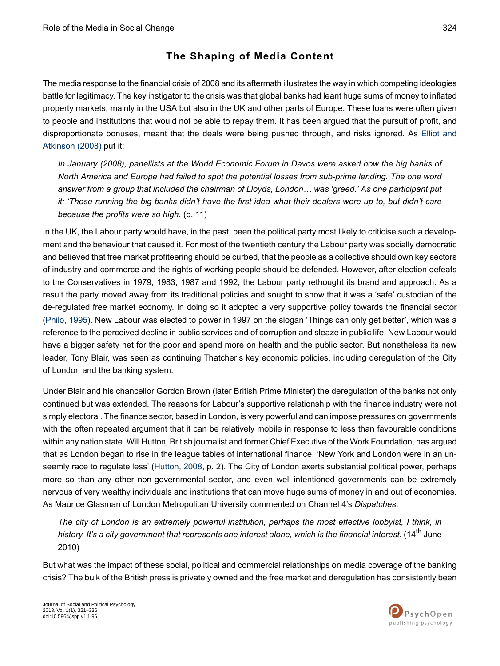# **The Shaping of Media Content**

The media response to the financial crisis of 2008 and its aftermath illustrates the way in which competing ideologies battle for legitimacy. The key instigator to the crisis was that global banks had leant huge sums of money to inflated property markets, mainly in the USA but also in the UK and other parts of Europe. These loans were often given to people and institutions that would not be able to repay them. It has been argued that the pursuit of profit, and disproportionate bonuses, meant that the deals were being pushed through, and risks ignored. As [Elliot](#page-13-6) and [Atkinson](#page-13-6) (2008) put it:

*In January (2008), panellists at the World Economic Forum in Davos were asked how the big banks of North America and Europe had failed to spot the potential losses from sub-prime lending. The one word answer from a group that included the chairman of Lloyds, London… was 'greed.' As one participant put* it: 'Those running the big banks didn't have the first idea what their dealers were up to, but didn't care *because the profits were so high.* (p. 11)

In the UK, the Labour party would have, in the past, been the political party most likely to criticise such a development and the behaviour that caused it. For most of the twentieth century the Labour party was socially democratic and believed that free market profiteering should be curbed, that the people as a collective should own key sectors of industry and commerce and the rights of working people should be defended. However, after election defeats to the Conservatives in 1979, 1983, 1987 and 1992, the Labour party rethought its brand and approach. As a result the party moved away from its traditional policies and sought to show that it was a 'safe' custodian of the de-regulated free market economy. In doing so it adopted a very supportive policy towards the financial sector [\(Philo,](#page-14-10) 1995). New Labour was elected to power in 1997 on the slogan 'Things can only get better', which was a reference to the perceived decline in public services and of corruption and sleaze in public life. New Labour would have a bigger safety net for the poor and spend more on health and the public sector. But nonetheless its new leader, Tony Blair, was seen as continuing Thatcher's key economic policies, including deregulation of the City of London and the banking system.

Under Blair and his chancellor Gordon Brown (later British Prime Minister) the deregulation of the banks not only continued but was extended. The reasons for Labour's supportive relationship with the finance industry were not simply electoral. The finance sector, based in London, is very powerful and can impose pressures on governments with the often repeated argument that it can be relatively mobile in response to less than favourable conditions within any nation state. Will Hutton, British journalist and former Chief Executive of the Work Foundation, has argued that as London began to rise in the league tables of international finance, 'New York and London were in an unseemly race to regulate less' ([Hutton,](#page-14-11) 2008, p. 2). The City of London exerts substantial political power, perhaps more so than any other non-governmental sector, and even well-intentioned governments can be extremely nervous of very wealthy individuals and institutions that can move huge sums of money in and out of economies. As Maurice Glasman of London Metropolitan University commented on Channel 4's *Dispatches*:

*The city of London is an extremely powerful institution, perhaps the most effective lobbyist, I think, in history. It's a city government that represents one interest alone, which is the financial interest.* (14th June 2010)

But what was the impact of these social, political and commercial relationships on media coverage of the banking crisis? The bulk of the British press is privately owned and the free market and deregulation has consistently been

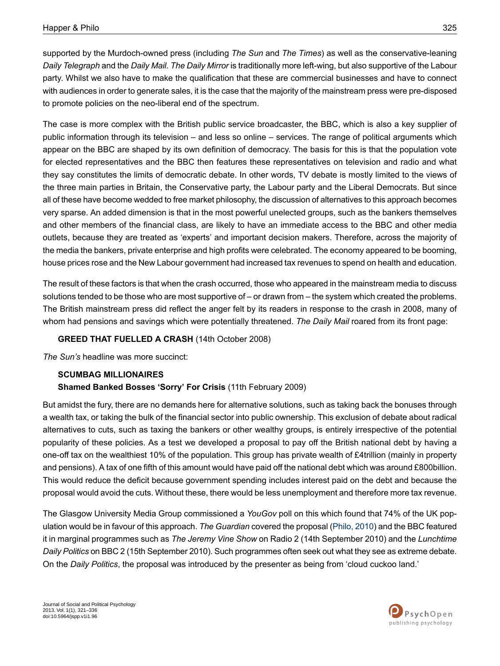supported by the Murdoch-owned press (including *The Sun* and *The Times*) as well as the conservative-leaning *Daily Telegraph* and the *Daily Mail. The Daily Mirror* is traditionally more left-wing, but also supportive of the Labour party. Whilst we also have to make the qualification that these are commercial businesses and have to connect with audiences in order to generate sales, it is the case that the majority of the mainstream press were pre-disposed to promote policies on the neo-liberal end of the spectrum.

The case is more complex with the British public service broadcaster, the BBC, which is also a key supplier of public information through its television – and less so online – services. The range of political arguments which appear on the BBC are shaped by its own definition of democracy. The basis for this is that the population vote for elected representatives and the BBC then features these representatives on television and radio and what they say constitutes the limits of democratic debate. In other words, TV debate is mostly limited to the views of the three main parties in Britain, the Conservative party, the Labour party and the Liberal Democrats. But since all of these have become wedded to free market philosophy, the discussion of alternatives to this approach becomes very sparse. An added dimension is that in the most powerful unelected groups, such as the bankers themselves and other members of the financial class, are likely to have an immediate access to the BBC and other media outlets, because they are treated as 'experts' and important decision makers. Therefore, across the majority of the media the bankers, private enterprise and high profits were celebrated. The economy appeared to be booming, house prices rose and the New Labour government had increased tax revenues to spend on health and education.

The result of these factors is that when the crash occurred, those who appeared in the mainstream media to discuss solutions tended to be those who are most supportive of – or drawn from – the system which created the problems. The British mainstream press did reflect the anger felt by its readers in response to the crash in 2008, many of whom had pensions and savings which were potentially threatened. *The Daily Mail* roared from its front page:

#### **GREED THAT FUELLED A CRASH** (14th October 2008)

*The Sun's* headline was more succinct:

### **SCUMBAG MILLIONAIRES Shamed Banked Bosses 'Sorry' For Crisis** (11th February 2009)

But amidst the fury, there are no demands here for alternative solutions, such as taking back the bonuses through a wealth tax, or taking the bulk of the financial sector into public ownership. This exclusion of debate about radical alternatives to cuts, such as taxing the bankers or other wealthy groups, is entirely irrespective of the potential popularity of these policies. As a test we developed a proposal to pay off the British national debt by having a one-off tax on the wealthiest 10% of the population. This group has private wealth of £4trillion (mainly in property and pensions). A tax of one fifth of this amount would have paid off the national debt which was around £800billion. This would reduce the deficit because government spending includes interest paid on the debt and because the proposal would avoid the cuts. Without these, there would be less unemployment and therefore more tax revenue.

The Glasgow University Media Group commissioned a *YouGov* poll on this which found that 74% of the UK population would be in favour of this approach. *The Guardian* covered the proposal [\(Philo,](#page-14-12) 2010) and the BBC featured it in marginal programmes such as *The Jeremy Vine Show* on Radio 2 (14th September 2010) and the *Lunchtime* Daily Politics on BBC 2 (15th September 2010). Such programmes often seek out what they see as extreme debate. On the *Daily Politics*, the proposal was introduced by the presenter as being from 'cloud cuckoo land.'

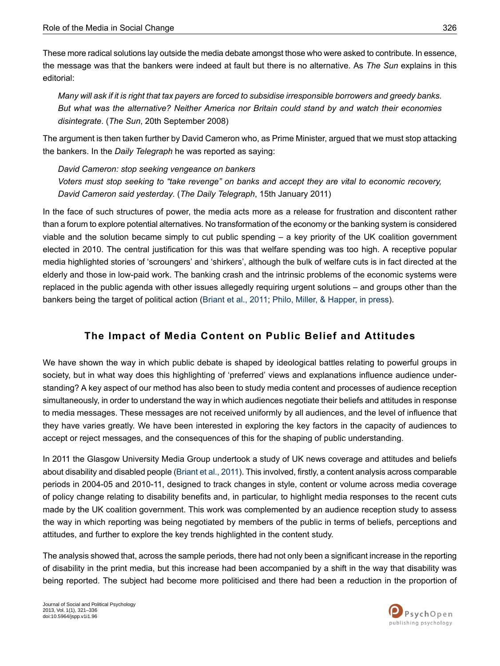These more radical solutions lay outside the media debate amongst those who were asked to contribute. In essence, the message was that the bankers were indeed at fault but there is no alternative. As *The Sun* explains in this editorial:

Many will ask if it is right that tax payers are forced to subsidise irresponsible borrowers and greedy banks. *But what was the alternative? Neither America nor Britain could stand by and watch their economies disintegrate*. (*The Sun*, 20th September 2008)

The argument is then taken further by David Cameron who, as Prime Minister, argued that we must stop attacking the bankers. In the *Daily Telegraph* he was reported as saying:

*David Cameron: stop seeking vengeance on bankers Voters must stop seeking to "take revenge" on banks and accept they are vital to economic recovery, David Cameron said yesterday*. (*The Daily Telegraph*, 15th January 2011)

In the face of such structures of power, the media acts more as a release for frustration and discontent rather than a forum to explore potential alternatives. No transformation of the economy or the banking system is considered viable and the solution became simply to cut public spending – a key priority of the UK coalition government elected in 2010. The central justification for this was that welfare spending was too high. A receptive popular media highlighted stories of 'scroungers' and 'shirkers', although the bulk of welfare cuts is in fact directed at the elderly and those in low-paid work. The banking crash and the intrinsic problems of the economic systems were replaced in the public agenda with other issues allegedly requiring urgent solutions – and groups other than the bankers being the target of political action ([Briant](#page-13-5) et al., 2011; Philo, Miller, & [Happer,](#page-14-1) in press).

# **The Impact o f Media Content on Public Belief and Attitudes**

We have shown the way in which public debate is shaped by ideological battles relating to powerful groups in society, but in what way does this highlighting of 'preferred' views and explanations influence audience understanding? A key aspect of our method has also been to study media content and processes of audience reception simultaneously, in order to understand the way in which audiences negotiate their beliefs and attitudes in response to media messages. These messages are not received uniformly by all audiences, and the level of influence that they have varies greatly. We have been interested in exploring the key factors in the capacity of audiences to accept or reject messages, and the consequences of this for the shaping of public understanding.

In 2011 the Glasgow University Media Group undertook a study of UK news coverage and attitudes and beliefs about disability and disabled people [\(Briant](#page-13-5) et al., 2011). This involved, firstly, a content analysis across comparable periods in 2004-05 and 2010-11, designed to track changes in style, content or volume across media coverage of policy change relating to disability benefits and, in particular, to highlight media responses to the recent cuts made by the UK coalition government. This work was complemented by an audience reception study to assess the way in which reporting was being negotiated by members of the public in terms of beliefs, perceptions and attitudes, and further to explore the key trends highlighted in the content study.

The analysis showed that, across the sample periods, there had not only been a significant increase in the reporting of disability in the print media, but this increase had been accompanied by a shift in the way that disability was being reported. The subject had become more politicised and there had been a reduction in the proportion of

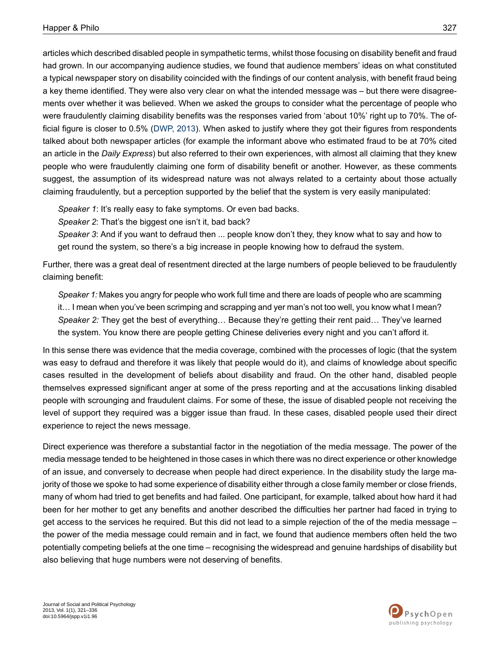articles which described disabled people in sympathetic terms, whilst those focusing on disability benefit and fraud had grown. In our accompanying audience studies, we found that audience members' ideas on what constituted a typical newspaper story on disability coincided with the findings of our content analysis, with benefit fraud being a key theme identified. They were also very clear on what the intended message was – but there were disagreements over whether it was believed. When we asked the groups to consider what the percentage of people who were fraudulently claiming disability benefits was the responses varied from 'about 10%' right up to 70%. The official figure is closer to 0.5% ([DWP,](#page-13-7) 2013). When asked to justify where they got their figures from respondents talked about both newspaper articles (for example the informant above who estimated fraud to be at 70% cited an article in the *Daily Express*) but also referred to their own experiences, with almost all claiming that they knew people who were fraudulently claiming one form of disability benefit or another. However, as these comments suggest, the assumption of its widespread nature was not always related to a certainty about those actually claiming fraudulently, but a perception supported by the belief that the system is very easily manipulated:

*Speaker 1*: It's really easy to fake symptoms. Or even bad backs.

*Speaker 2*: That's the biggest one isn't it, bad back?

*Speaker 3*: And if you want to defraud then ... people know don't they, they know what to say and how to get round the system, so there's a big increase in people knowing how to defraud the system.

Further, there was a great deal of resentment directed at the large numbers of people believed to be fraudulently claiming benefit:

Speaker 1: Makes you angry for people who work full time and there are loads of people who are scamming it… I mean when you've been scrimping and scrapping and yer man's not too well, you know what I mean? *Speaker 2:* They get the best of everything… Because they're getting their rent paid… They've learned the system. You know there are people getting Chinese deliveries every night and you can't afford it.

In this sense there was evidence that the media coverage, combined with the processes of logic (that the system was easy to defraud and therefore it was likely that people would do it), and claims of knowledge about specific cases resulted in the development of beliefs about disability and fraud. On the other hand, disabled people themselves expressed significant anger at some of the press reporting and at the accusations linking disabled people with scrounging and fraudulent claims. For some of these, the issue of disabled people not receiving the level of support they required was a bigger issue than fraud. In these cases, disabled people used their direct experience to reject the news message.

Direct experience was therefore a substantial factor in the negotiation of the media message. The power of the media message tended to be heightened in those cases in which there was no direct experience or other knowledge of an issue, and conversely to decrease when people had direct experience. In the disability study the large majority of those we spoke to had some experience of disability either through a close family member or close friends, many of whom had tried to get benefits and had failed. One participant, for example, talked about how hard it had been for her mother to get any benefits and another described the difficulties her partner had faced in trying to get access to the services he required. But this did not lead to a simple rejection of the of the media message – the power of the media message could remain and in fact, we found that audience members often held the two potentially competing beliefs at the one time – recognising the widespread and genuine hardships of disability but also believing that huge numbers were not deserving of benefits.

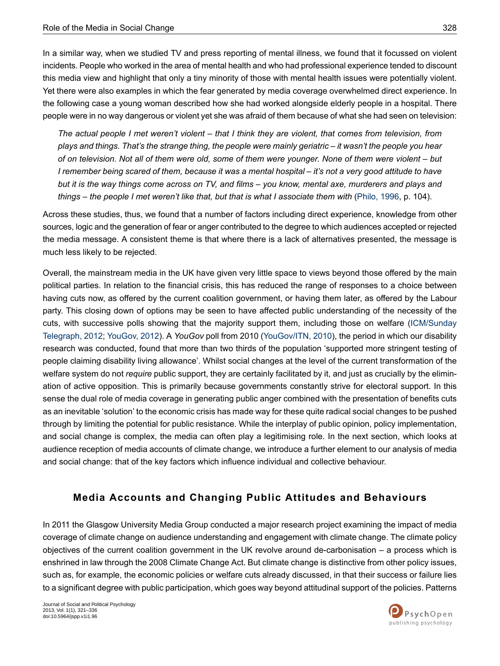In a similar way, when we studied TV and press reporting of mental illness, we found that it focussed on violent incidents. People who worked in the area of mental health and who had professional experience tended to discount this media view and highlight that only a tiny minority of those with mental health issues were potentially violent. Yet there were also examples in which the fear generated by media coverage overwhelmed direct experience. In the following case a young woman described how she had worked alongside elderly people in a hospital. There people were in no way dangerous or violent yet she was afraid of them because of what she had seen on television:

The actual people I met weren't violent – that I think they are violent, that comes from television, from plays and things. That's the strange thing, the people were mainly geriatric – it wasn't the people you hear of on television. Not all of them were old, some of them were younger. None of them were violent – but I remember being scared of them, because it was a mental hospital – it's not a very good attitude to have but it is the way things come across on TV, and films - you know, mental axe, murderers and plays and things – the people I met weren't like that, but that is what I associate them with ([Philo,](#page-14-5) 1996, p. 104).

Across these studies, thus, we found that a number of factors including direct experience, knowledge from other sources, logic and the generation of fear or anger contributed to the degree to which audiences accepted or rejected the media message. A consistent theme is that where there is a lack of alternatives presented, the message is much less likely to be rejected.

Overall, the mainstream media in the UK have given very little space to views beyond those offered by the main political parties. In relation to the financial crisis, this has reduced the range of responses to a choice between having cuts now, as offered by the current coalition government, or having them later, as offered by the Labour party. This closing down of options may be seen to have affected public understanding of the necessity of the cuts, with successive polls showing that the majority support them, including those on welfare [\(ICM/Sunday](#page-14-13) [Telegraph,](#page-14-13) 2012; [YouGov,](#page-15-0) 2012). A *YouGov* poll from 2010 ([YouGov/ITN,](#page-14-14) 2010), the period in which our disability research was conducted, found that more than two thirds of the population 'supported more stringent testing of people claiming disability living allowance'. Whilst social changes at the level of the current transformation of the welfare system do not *require* public support, they are certainly facilitated by it, and just as crucially by the elimination of active opposition. This is primarily because governments constantly strive for electoral support. In this sense the dual role of media coverage in generating public anger combined with the presentation of benefits cuts as an inevitable 'solution' to the economic crisis has made way for these quite radical social changes to be pushed through by limiting the potential for public resistance. While the interplay of public opinion, policy implementation, and social change is complex, the media can often play a legitimising role. In the next section, which looks at audience reception of media accounts of climate change, we introduce a further element to our analysis of media and social change: that of the key factors which influence individual and collective behaviour.

## **Media Accounts and Changing Public Attitudes and Behaviours**

In 2011 the Glasgow University Media Group conducted a major research project examining the impact of media coverage of climate change on audience understanding and engagement with climate change. The climate policy objectives of the current coalition government in the UK revolve around de-carbonisation – a process which is enshrined in law through the 2008 Climate Change Act. But climate change is distinctive from other policy issues, such as, for example, the economic policies or welfare cuts already discussed, in that their success or failure lies to a significant degree with public participation, which goes way beyond attitudinal support of the policies. Patterns

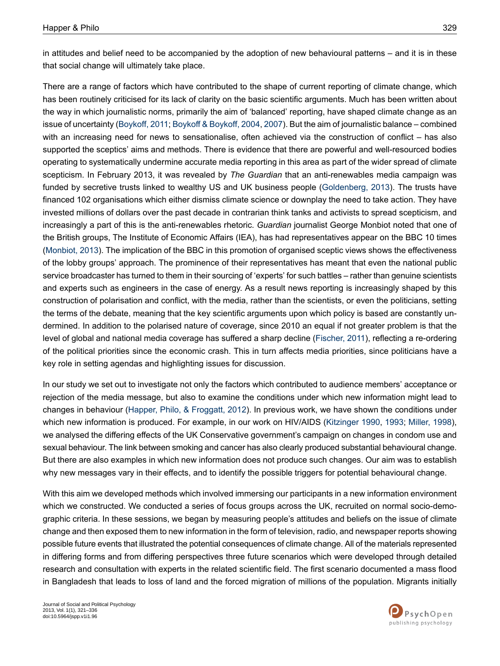in attitudes and belief need to be accompanied by the adoption of new behavioural patterns – and it is in these that social change will ultimately take place.

There are a range of factors which have contributed to the shape of current reporting of climate change, which has been routinely criticised for its lack of clarity on the basic scientific arguments. Much has been written about the way in which journalistic norms, primarily the aim of 'balanced' reporting, have shaped climate change as an issue of uncertainty [\(Boykoff,](#page-13-8) 2011; Boykoff & [Boykoff,](#page-13-9) 2004, [2007\)](#page-13-10). But the aim of journalistic balance – combined with an increasing need for news to sensationalise, often achieved via the construction of conflict – has also supported the sceptics' aims and methods. There is evidence that there are powerful and well-resourced bodies operating to systematically undermine accurate media reporting in this area as part of the wider spread of climate scepticism. In February 2013, it was revealed by *The Guardian* that an anti-renewables media campaign was funded by secretive trusts linked to wealthy US and UK business people ([Goldenberg,](#page-13-11) 2013). The trusts have financed 102 organisations which either dismiss climate science or downplay the need to take action. They have invested millions of dollars over the past decade in contrarian think tanks and activists to spread scepticism, and increasingly a part of this is the anti-renewables rhetoric. *Guardian* journalist George Monbiot noted that one of the British groups, The Institute of Economic Affairs (IEA), has had representatives appear on the BBC 10 times [\(Monbiot,](#page-14-15) 2013). The implication of the BBC in this promotion of organised sceptic views shows the effectiveness of the lobby groups' approach. The prominence of their representatives has meant that even the national public service broadcaster has turned to them in their sourcing of 'experts' for such battles – rather than genuine scientists and experts such as engineers in the case of energy. As a result news reporting is increasingly shaped by this construction of polarisation and conflict, with the media, rather than the scientists, or even the politicians, setting the terms of the debate, meaning that the key scientific arguments upon which policy is based are constantly undermined. In addition to the polarised nature of coverage, since 2010 an equal if not greater problem is that the level of global and national media coverage has suffered a sharp decline [\(Fischer,](#page-13-12) 2011), reflecting a re-ordering of the political priorities since the economic crash. This in turn affects media priorities, since politicians have a key role in setting agendas and highlighting issues for discussion.

In our study we set out to investigate not only the factors which contributed to audience members' acceptance or rejection of the media message, but also to examine the conditions under which new information might lead to changes in behaviour (Happer, Philo, & [Froggatt,](#page-13-13) 2012). In previous work, we have shown the conditions under which new information is produced. For example, in our work on HIV/AIDS ([Kitzinger](#page-14-16) 1990, [1993;](#page-14-17) [Miller,](#page-14-18) 1998), we analysed the differing effects of the UK Conservative government's campaign on changes in condom use and sexual behaviour. The link between smoking and cancer has also clearly produced substantial behavioural change. But there are also examples in which new information does not produce such changes. Our aim was to establish why new messages vary in their effects, and to identify the possible triggers for potential behavioural change.

With this aim we developed methods which involved immersing our participants in a new information environment which we constructed. We conducted a series of focus groups across the UK, recruited on normal socio-demographic criteria. In these sessions, we began by measuring people's attitudes and beliefs on the issue of climate change and then exposed them to new information in the form of television, radio, and newspaper reports showing possible future events that illustrated the potential consequences of climate change. All of the materials represented in differing forms and from differing perspectives three future scenarios which were developed through detailed research and consultation with experts in the related scientific field. The first scenario documented a mass flood in Bangladesh that leads to loss of land and the forced migration of millions of the population. Migrants initially

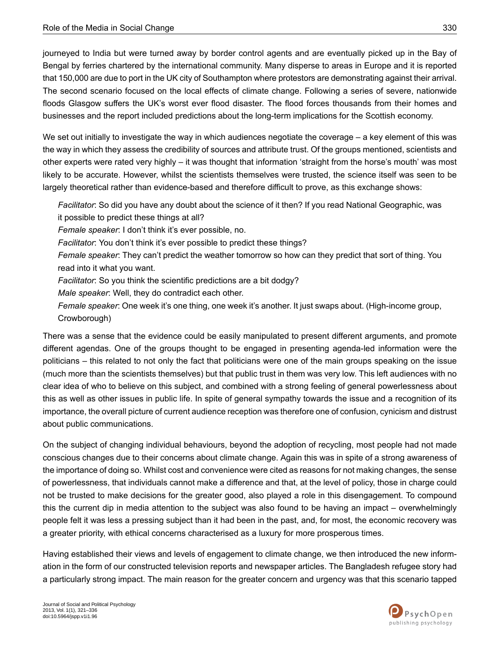journeyed to India but were turned away by border control agents and are eventually picked up in the Bay of Bengal by ferries chartered by the international community. Many disperse to areas in Europe and it is reported that 150,000 are due to port in the UK city of Southampton where protestors are demonstrating against their arrival. The second scenario focused on the local effects of climate change. Following a series of severe, nationwide floods Glasgow suffers the UK's worst ever flood disaster. The flood forces thousands from their homes and businesses and the report included predictions about the long-term implications for the Scottish economy.

We set out initially to investigate the way in which audiences negotiate the coverage – a key element of this was the way in which they assess the credibility of sources and attribute trust. Of the groups mentioned, scientists and other experts were rated very highly – it was thought that information 'straight from the horse's mouth' was most likely to be accurate. However, whilst the scientists themselves were trusted, the science itself was seen to be largely theoretical rather than evidence-based and therefore difficult to prove, as this exchange shows:

*Facilitator*: So did you have any doubt about the science of it then? If you read National Geographic, was it possible to predict these things at all?

*Female speaker*: I don't think it's ever possible, no.

*Facilitator*: You don't think it's ever possible to predict these things?

*Female speaker*: They can't predict the weather tomorrow so how can they predict that sort of thing. You read into it what you want.

*Facilitator*: So you think the scientific predictions are a bit dodgy?

*Male speaker*: Well, they do contradict each other.

*Female speaker*: One week it's one thing, one week it's another. It just swaps about. (High-income group, Crowborough)

There was a sense that the evidence could be easily manipulated to present different arguments, and promote different agendas. One of the groups thought to be engaged in presenting agenda-led information were the politicians – this related to not only the fact that politicians were one of the main groups speaking on the issue (much more than the scientists themselves) but that public trust in them was very low. This left audiences with no clear idea of who to believe on this subject, and combined with a strong feeling of general powerlessness about this as well as other issues in public life. In spite of general sympathy towards the issue and a recognition of its importance, the overall picture of current audience reception was therefore one of confusion, cynicism and distrust about public communications.

On the subject of changing individual behaviours, beyond the adoption of recycling, most people had not made conscious changes due to their concerns about climate change. Again this was in spite of a strong awareness of the importance of doing so. Whilst cost and convenience were cited as reasons for not making changes, the sense of powerlessness, that individuals cannot make a difference and that, at the level of policy, those in charge could not be trusted to make decisions for the greater good, also played a role in this disengagement. To compound this the current dip in media attention to the subject was also found to be having an impact – overwhelmingly people felt it was less a pressing subject than it had been in the past, and, for most, the economic recovery was a greater priority, with ethical concerns characterised as a luxury for more prosperous times.

Having established their views and levels of engagement to climate change, we then introduced the new information in the form of our constructed television reports and newspaper articles. The Bangladesh refugee story had a particularly strong impact. The main reason for the greater concern and urgency was that this scenario tapped

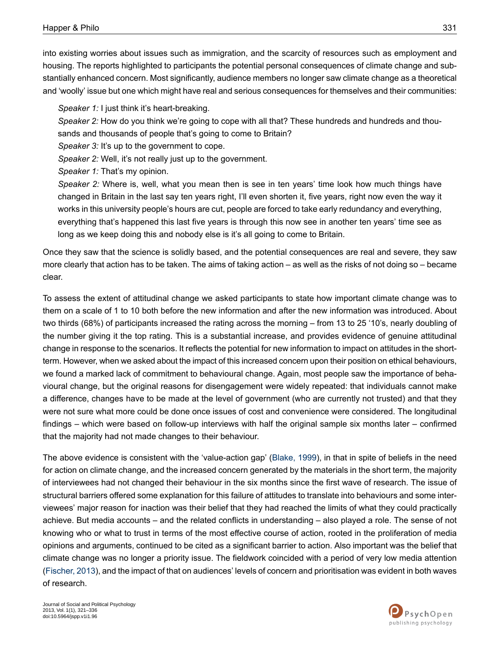into existing worries about issues such as immigration, and the scarcity of resources such as employment and housing. The reports highlighted to participants the potential personal consequences of climate change and substantially enhanced concern. Most significantly, audience members no longer saw climate change as a theoretical and 'woolly' issue but one which might have real and serious consequences for themselves and their communities:

*Speaker 1:* I just think it's heart-breaking.

*Speaker 2:* How do you think we're going to cope with all that? These hundreds and hundreds and thou-

sands and thousands of people that's going to come to Britain?

*Speaker 3:* It's up to the government to cope.

*Speaker 2:* Well, it's not really just up to the government.

*Speaker 1:* That's my opinion.

*Speaker 2:* Where is, well, what you mean then is see in ten years' time look how much things have changed in Britain in the last say ten years right, I'll even shorten it, five years, right now even the way it works in this university people's hours are cut, people are forced to take early redundancy and everything, everything that's happened this last five years is through this now see in another ten years' time see as long as we keep doing this and nobody else is it's all going to come to Britain.

Once they saw that the science is solidly based, and the potential consequences are real and severe, they saw more clearly that action has to be taken. The aims of taking action – as well as the risks of not doing so – became clear.

To assess the extent of attitudinal change we asked participants to state how important climate change was to them on a scale of 1 to 10 both before the new information and after the new information was introduced. About two thirds (68%) of participants increased the rating across the morning – from 13 to 25 '10's, nearly doubling of the number giving it the top rating. This is a substantial increase, and provides evidence of genuine attitudinal change in response to the scenarios. It reflects the potential for new information to impact on attitudes in the shortterm. However, when we asked about the impact of this increased concernupon their position on ethical behaviours, we found a marked lack of commitment to behavioural change. Again, most people saw the importance of behavioural change, but the original reasons for disengagement were widely repeated: that individuals cannot make a difference, changes have to be made at the level of government (who are currently not trusted) and that they were not sure what more could be done once issues of cost and convenience were considered. The longitudinal findings – which were based on follow-up interviews with half the original sample six months later – confirmed that the majority had not made changes to their behaviour.

The above evidence is consistent with the 'value-action gap' [\(Blake,](#page-13-14) 1999), in that in spite of beliefs in the need for action on climate change, and the increased concern generated by the materials in the short term, the majority of interviewees had not changed their behaviour in the six months since the first wave of research. The issue of structural barriers offered some explanation for this failure of attitudes to translate into behaviours and some interviewees' major reason for inaction was their belief that they had reached the limits of what they could practically achieve. But media accounts – and the related conflicts in understanding – also played a role. The sense of not knowing who or what to trust in terms of the most effective course of action, rooted in the proliferation of media opinions and arguments, continued to be cited as a significant barrier to action. Also important was the belief that climate change was no longer a priority issue. The fieldwork coincided with a period of very low media attention (Fischer, 2013), and the impact of that on audiences' levels of concern and prioritisation was evident in both waves of research.

Journal of Social and Political Psychology 2013, Vol. 1(1), 321–336 doi:10.5964/jspp.v1i1.96

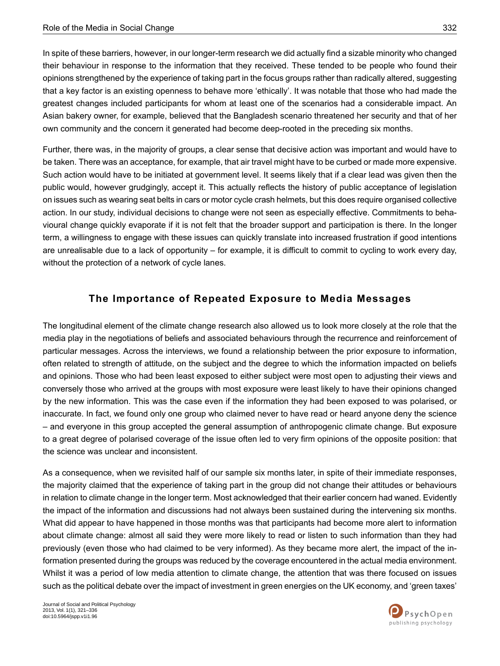In spite of these barriers, however, in our longer-term research we did actually find a sizable minority who changed their behaviour in response to the information that they received. These tended to be people who found their opinions strengthened by the experience of taking part in the focus groups rather than radically altered, suggesting that a key factor is an existing openness to behave more 'ethically'. It was notable that those who had made the greatest changes included participants for whom at least one of the scenarios had a considerable impact. An Asian bakery owner, for example, believed that the Bangladesh scenario threatened her security and that of her own community and the concern it generated had become deep-rooted in the preceding six months.

Further, there was, in the majority of groups, a clear sense that decisive action was important and would have to be taken. There was an acceptance, for example, that air travel might have to be curbed or made more expensive. Such action would have to be initiated at government level. It seems likely that if a clear lead was given then the public would, however grudgingly, accept it. This actually reflects the history of public acceptance of legislation on issues such as wearing seat belts in cars or motor cycle crash helmets, but this does require organised collective action. In our study, individual decisions to change were not seen as especially effective. Commitments to behavioural change quickly evaporate if it is not felt that the broader support and participation is there. In the longer term, a willingness to engage with these issues can quickly translate into increased frustration if good intentions are unrealisable due to a lack of opportunity – for example, it is difficult to commit to cycling to work every day, without the protection of a network of cycle lanes.

### **The Importance of Repeated Exposure to Media Messages**

The longitudinal element of the climate change research also allowed us to look more closely at the role that the media play in the negotiations of beliefs and associated behaviours through the recurrence and reinforcement of particular messages. Across the interviews, we found a relationship between the prior exposure to information, often related to strength of attitude, on the subject and the degree to which the information impacted on beliefs and opinions. Those who had been least exposed to either subject were most open to adjusting their views and conversely those who arrived at the groups with most exposure were least likely to have their opinions changed by the new information. This was the case even if the information they had been exposed to was polarised, or inaccurate. In fact, we found only one group who claimed never to have read or heard anyone deny the science – and everyone in this group accepted the general assumption of anthropogenic climate change. But exposure to a great degree of polarised coverage of the issue often led to very firm opinions of the opposite position: that the science was unclear and inconsistent.

As a consequence, when we revisited half of our sample six months later, in spite of their immediate responses, the majority claimed that the experience of taking part in the group did not change their attitudes or behaviours in relation to climate change in the longer term. Most acknowledged that their earlier concern had waned. Evidently the impact of the information and discussions had not always been sustained during the intervening six months. What did appear to have happened in those months was that participants had become more alert to information about climate change: almost all said they were more likely to read or listen to such information than they had previously (even those who had claimed to be very informed). As they became more alert, the impact of the information presented during the groups was reduced by the coverage encountered in the actual media environment. Whilst it was a period of low media attention to climate change, the attention that was there focused on issues such as the political debate over the impact of investment in green energies on the UK economy, and 'green taxes'

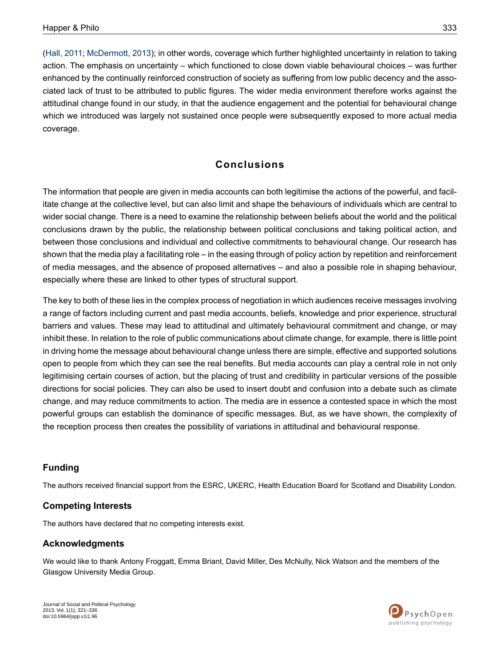(Hall, [2011](#page-13-16); [McDermott,](#page-14-19) 2013); in other words, coverage which further highlighted uncertainty in relation to taking action. The emphasis on uncertainty – which functioned to close down viable behavioural choices – was further enhanced by the continually reinforced construction of society as suffering from low public decency and the associated lack of trust to be attributed to public figures. The wider media environment therefore works against the attitudinal change found in our study, in that the audience engagement and the potential for behavioural change which we introduced was largely not sustained once people were subsequently exposed to more actual media coverage.

# **Conclusions**

The information that people are given in media accounts can both legitimise the actions of the powerful, and facilitate change at the collective level, but can also limit and shape the behaviours of individuals which are central to wider social change. There is a need to examine the relationship between beliefs about the world and the political conclusions drawn by the public, the relationship between political conclusions and taking political action, and between those conclusions and individual and collective commitments to behavioural change. Our research has shown that the media play a facilitating role – in the easing through of policy action by repetition and reinforcement of media messages, and the absence of proposed alternatives – and also a possible role in shaping behaviour, especially where these are linked to other types of structural support.

The key to both of these lies in the complex process of negotiation in which audiences receive messages involving a range of factors including current and past media accounts, beliefs, knowledge and prior experience, structural barriers and values. These may lead to attitudinal and ultimately behavioural commitment and change, or may inhibit these. In relation to the role of public communications about climate change, for example, there is little point in driving home the message about behavioural change unless there are simple, effective and supported solutions open to people from which they can see the real benefits. But media accounts can play a central role in not only legitimising certain courses of action, but the placing of trust and credibility in particular versions of the possible directions for social policies. They can also be used to insert doubt and confusion into a debate such as climate change, and may reduce commitments to action. The media are in essence a contested space in which the most powerful groups can establish the dominance of specific messages. But, as we have shown, the complexity of the reception process then creates the possibility of variations in attitudinal and behavioural response.

### **Funding**

The authors received financial support from the ESRC, UKERC, Health Education Board for Scotland and Disability London.

#### **Competing Interests**

The authors have declared that no competing interests exist.

#### **Acknowledgments**

We would like to thank Antony Froggatt, Emma Briant, David Miller, Des McNulty, Nick Watson and the members of the Glasgow University Media Group.

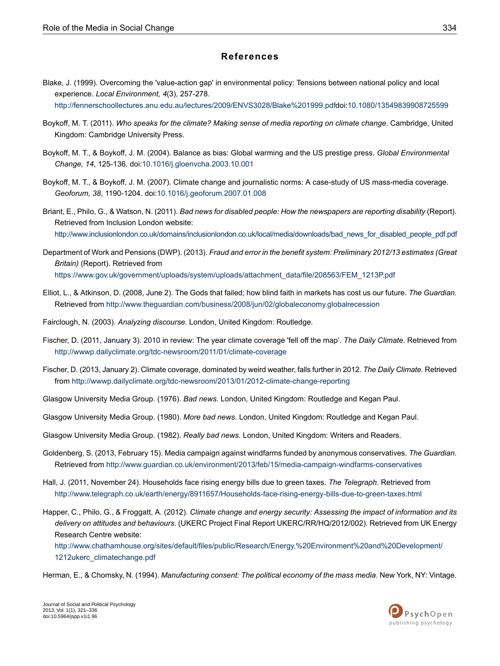#### **References**

<span id="page-13-14"></span>Blake, J. (1999). Overcoming the 'value-action gap' in environmental policy: Tensions between national policy and local experience. *Local Environment, 4*(3), 257-278.

<span id="page-13-8"></span>[http://fennerschoollectures.anu.edu.au/lectures/2009/ENVS3028/Blake%201999.pdfd](http://fennerschoollectures.anu.edu.au/lectures/2009/ENVS3028/Blake%201999.pdf)oi[:10.1080/13549839908725599](http://dx.doi.org/10.1080/13549839908725599)

- <span id="page-13-9"></span>Boykoff, M. T. (2011). *Who speaks for the climate? Making sense of media reporting on climate change*. Cambridge, United Kingdom: Cambridge University Press.
- <span id="page-13-10"></span>Boykoff, M. T., & Boykoff, J. M. (2004). Balance as bias: Global warming and the US prestige press. *Global Environmental Change, 14*, 125-136. doi[:10.1016/j.gloenvcha.2003.10.001](http://dx.doi.org/10.1016/j.gloenvcha.2003.10.001)
- <span id="page-13-5"></span>Boykoff, M. T., & Boykoff, J. M. (2007). Climate change and journalistic norms: A case-study of US mass-media coverage. *Geoforum, 38*, 1190-1204. doi[:10.1016/j.geoforum.2007.01.008](http://dx.doi.org/10.1016/j.geoforum.2007.01.008)
- <span id="page-13-7"></span>Briant, E., Philo, G., & Watson, N. (2011). *Bad news for disabled people: How the newspapers are reporting disability* (Report). Retrieved from Inclusion London website: [http://www.inclusionlondon.co.uk/domains/inclusionlondon.co.uk/local/media/downloads/bad\\_news\\_for\\_disabled\\_people\\_pdf.pdf](http://www.inclusionlondon.co.uk/domains/inclusionlondon.co.uk/local/media/downloads/bad_news_for_disabled_people_pdf.pdf)
- <span id="page-13-6"></span>Department of Work and Pensions (DWP). (2013). *Fraud and error in the benefit system: Preliminary 2012/13 estimates (Great Britain)* (Report). Retrieved from [https://www.gov.uk/government/uploads/system/uploads/attachment\\_data/file/208563/FEM\\_1213P.pdf](https://www.gov.uk/government/uploads/system/uploads/attachment_data/file/208563/FEM_1213P.pdf)
- <span id="page-13-12"></span><span id="page-13-0"></span>Elliot, L., & Atkinson, D. (2008, June 2). The Gods that failed; how blind faith in markets has cost us our future. *The Guardian.* Retrieved from <http://www.theguardian.com/business/2008/jun/02/globaleconomy.globalrecession>
- Fairclough, N. (2003). *Analyzing discourse*. London, United Kingdom: Routledge.
- <span id="page-13-15"></span>Fischer, D. (2011, January 3). 2010 in review: The year climate coverage 'fell off the map'. *The Daily Climate*. Retrieved from <http://wwwp.dailyclimate.org/tdc-newsroom/2011/01/climate-coverage>
- <span id="page-13-2"></span><span id="page-13-1"></span>Fischer, D. (2013, January 2). Climate coverage, dominated by weird weather, falls further in 2012. *The Daily Climate.* Retrieved from <http://wwwp.dailyclimate.org/tdc-newsroom/2013/01/2012-climate-change-reporting>
- <span id="page-13-11"></span><span id="page-13-3"></span>Glasgow University Media Group. (1976). *Bad news*. London, United Kingdom: Routledge and Kegan Paul.
- Glasgow University Media Group. (1980). *More bad news*. London, United Kingdom: Routledge and Kegan Paul.

<span id="page-13-16"></span>Glasgow University Media Group. (1982). *Really bad news.* London, United Kingdom: Writers and Readers.

- <span id="page-13-13"></span>Goldenberg, S. (2013, February 15). Media campaign against windfarms funded by anonymous conservatives. *The Guardian*. Retrieved from <http://www.guardian.co.uk/environment/2013/feb/15/media-campaign-windfarms-conservatives>
- Hall, J. (2011, November 24). Households face rising energy bills due to green taxes. *The Telegraph*. Retrieved from <http://www.telegraph.co.uk/earth/energy/8911657/Households-face-rising-energy-bills-due-to-green-taxes.html>
- <span id="page-13-4"></span>Happer, C., Philo, G., & Froggatt, A. (2012). *Climate change and energy security: Assessing the impact of information and its delivery on attitudes and behaviours*. (UKERC Project Final Report UKERC/RR/HQ/2012/002). Retrieved from UK Energy Research Centre website:

[http://www.chathamhouse.org/sites/default/files/public/Research/Energy,%20Environment%20and%20Development/](http://www.chathamhouse.org/sites/default/files/public/Research/Energy,%20Environment%20and%20Development/1212ukerc_climatechange.pdf) [1212ukerc\\_climatechange.pdf](http://www.chathamhouse.org/sites/default/files/public/Research/Energy,%20Environment%20and%20Development/1212ukerc_climatechange.pdf)

Herman, E., & Chomsky, N. (1994). *Manufacturing consent: The political economy of the mass media*. New York, NY: Vintage.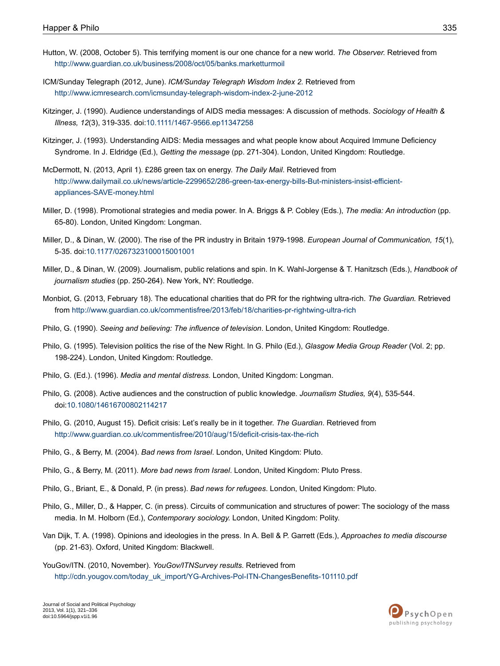- <span id="page-14-11"></span>Hutton, W. (2008, October 5). This terrifying moment is our one chance for a new world. *The Observer.* Retrieved from <http://www.guardian.co.uk/business/2008/oct/05/banks.marketturmoil>
- <span id="page-14-13"></span>ICM/Sunday Telegraph (2012, June). *ICM/Sunday Telegraph Wisdom Index 2.* Retrieved from <http://www.icmresearch.com/icmsunday-telegraph-wisdom-index-2-june-2012>
- <span id="page-14-16"></span>Kitzinger, J. (1990). Audience understandings of AIDS media messages: A discussion of methods. *Sociology of Health & Illness, 12*(3), 319-335. doi[:10.1111/1467-9566.ep11347258](http://dx.doi.org/10.1111/1467-9566.ep11347258)
- <span id="page-14-19"></span><span id="page-14-17"></span>Kitzinger, J. (1993). Understanding AIDS: Media messages and what people know about Acquired Immune Deficiency Syndrome. In J. Eldridge (Ed.), *Getting the message* (pp. 271-304). London, United Kingdom: Routledge.
- <span id="page-14-18"></span>McDermott, N. (2013, April 1). £286 green tax on energy. *The Daily Mail*. Retrieved from [http://www.dailymail.co.uk/news/article-2299652/286-green-tax-energy-bills-But-ministers-insist-efficient](http://www.dailymail.co.uk/news/article-2299652/286-green-tax-energy-bills-But-ministers-insist-efficient-appliances-SAVE-money.html)[appliances-SAVE-money.html](http://www.dailymail.co.uk/news/article-2299652/286-green-tax-energy-bills-But-ministers-insist-efficient-appliances-SAVE-money.html)
- <span id="page-14-3"></span>Miller, D. (1998). Promotional strategies and media power. In A. Briggs & P. Cobley (Eds.), *The media: An introduction* (pp. 65-80). London, United Kingdom: Longman.
- <span id="page-14-4"></span>Miller, D., & Dinan, W. (2000). The rise of the PR industry in Britain 1979-1998. *European Journal of Communication, 15*(1), 5-35. doi:[10.1177/0267323100015001001](http://dx.doi.org/10.1177/0267323100015001001)
- <span id="page-14-15"></span>Miller, D., & Dinan, W. (2009). Journalism, public relations and spin. In K. Wahl-Jorgense & T. Hanitzsch (Eds.), *Handbook of journalism studies* (pp. 250-264). New York, NY: Routledge.
- <span id="page-14-10"></span><span id="page-14-8"></span>Monbiot, G. (2013, February 18). The educational charities that do PR for the rightwing ultra-rich. *The Guardian.* Retrieved from <http://www.guardian.co.uk/commentisfree/2013/feb/18/charities-pr-rightwing-ultra-rich>
- <span id="page-14-5"></span>Philo, G. (1990). *Seeing and believing: The influence of television*. London, United Kingdom: Routledge.
- <span id="page-14-0"></span>Philo, G. (1995). Television politics the rise of the New Right. In G. Philo (Ed.), *Glasgow Media Group Reader* (Vol. 2; pp. 198-224). London, United Kingdom: Routledge.
- <span id="page-14-12"></span>Philo, G. (Ed.). (1996). *Media and mental distress.* London, United Kingdom: Longman.
- <span id="page-14-6"></span>Philo, G. (2008). Active audiences and the construction of public knowledge. *Journalism Studies, 9*(4), 535-544. doi:[10.1080/14616700802114217](http://dx.doi.org/10.1080/14616700802114217)
- <span id="page-14-7"></span>Philo, G. (2010, August 15). Deficit crisis: Let's really be in it together. *The Guardian*. Retrieved from <http://www.guardian.co.uk/commentisfree/2010/aug/15/deficit-crisis-tax-the-rich>
- <span id="page-14-9"></span><span id="page-14-1"></span>Philo, G., & Berry, M. (2004). *Bad news from Israel*. London, United Kingdom: Pluto.
- Philo, G., & Berry, M. (2011). *More bad news from Israel*. London, United Kingdom: Pluto Press.
- <span id="page-14-2"></span>Philo, G., Briant, E., & Donald, P. (in press). *Bad news for refugees*. London, United Kingdom: Pluto.
- <span id="page-14-14"></span>Philo, G., Miller, D., & Happer, C. (in press). Circuits of communication and structures of power: The sociology of the mass media. In M. Holborn (Ed.), *Contemporary sociology.* London, United Kingdom: Polity.
- Van Dijk, T. A. (1998). Opinions and ideologies in the press. In A. Bell & P. Garrett (Eds.), *Approaches to media discourse* (pp. 21-63). Oxford, United Kingdom: Blackwell.

YouGov/ITN. (2010, November). *YouGov/ITNSurvey results*. Retrieved from [http://cdn.yougov.com/today\\_uk\\_import/YG-Archives-Pol-ITN-ChangesBenefits-101110.pdf](http://cdn.yougov.com/today_uk_import/YG-Archives-Pol-ITN-ChangesBenefits-101110.pdf)